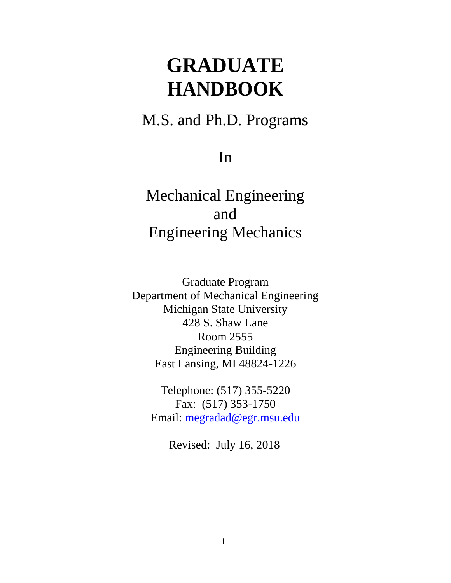# **GRADUATE HANDBOOK**

# M.S. and Ph.D. Programs

In

Mechanical Engineering and Engineering Mechanics

Graduate Program Department of Mechanical Engineering Michigan State University 428 S. Shaw Lane Room 2555 Engineering Building East Lansing, MI 48824-1226

Telephone: (517) 355-5220 Fax: (517) 353-1750 Email: [megradad@egr.msu.edu](mailto:megradad@egr.msu.edu)

Revised: July 16, 2018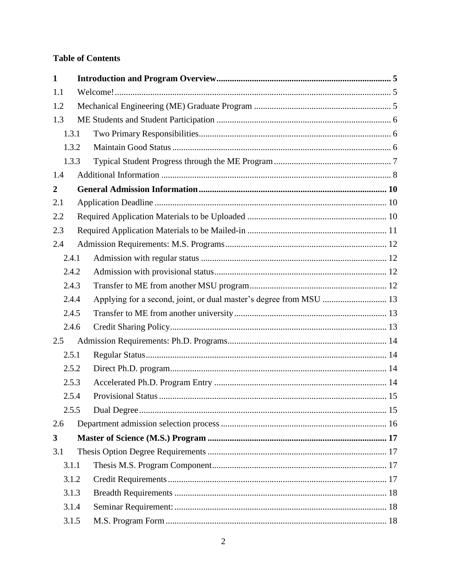# **Table of Contents**

| $\mathbf{1}$   |       |  |
|----------------|-------|--|
| 1.1            |       |  |
| 1.2            |       |  |
| 1.3            |       |  |
|                | 1.3.1 |  |
|                | 1.3.2 |  |
|                | 1.3.3 |  |
| 1.4            |       |  |
| $\overline{2}$ |       |  |
| 2.1            |       |  |
| 2.2            |       |  |
| 2.3            |       |  |
| 2.4            |       |  |
|                | 2.4.1 |  |
|                | 2.4.2 |  |
|                | 2.4.3 |  |
|                | 2.4.4 |  |
|                | 2.4.5 |  |
|                | 2.4.6 |  |
| 2.5            |       |  |
|                | 2.5.1 |  |
|                | 2.5.2 |  |
|                | 2.5.3 |  |
|                | 2.5.4 |  |
|                | 2.5.5 |  |
| 2.6            |       |  |
| 3              |       |  |
| 3.1            |       |  |
|                | 3.1.1 |  |
|                | 3.1.2 |  |
|                | 3.1.3 |  |
|                | 3.1.4 |  |
|                | 3.1.5 |  |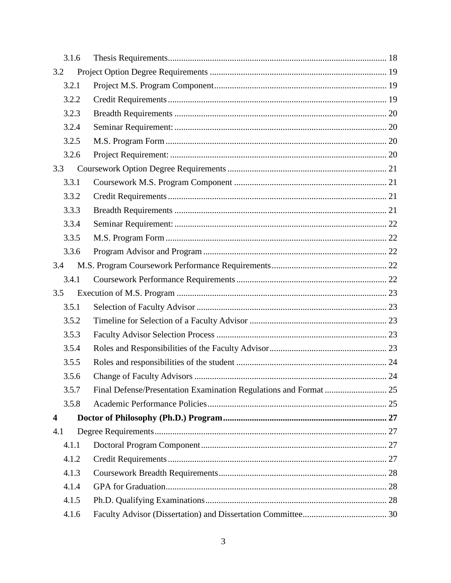| 3.1.6                   |  |
|-------------------------|--|
| 3.2                     |  |
| 3.2.1                   |  |
| 3.2.2                   |  |
| 3.2.3                   |  |
| 3.2.4                   |  |
| 3.2.5                   |  |
| 3.2.6                   |  |
| 3.3                     |  |
| 3.3.1                   |  |
| 3.3.2                   |  |
| 3.3.3                   |  |
| 3.3.4                   |  |
| 3.3.5                   |  |
| 3.3.6                   |  |
| 3.4                     |  |
| 3.4.1                   |  |
| 3.5                     |  |
| 3.5.1                   |  |
| 3.5.2                   |  |
| 3.5.3                   |  |
| 3.5.4                   |  |
| 3.5.5                   |  |
| 3.5.6                   |  |
| 3.5.7                   |  |
| 3.5.8                   |  |
| $\overline{\mathbf{4}}$ |  |
| 4.1                     |  |
| 4.1.1                   |  |
| 4.1.2                   |  |
| 4.1.3                   |  |
| 4.1.4                   |  |
| 4.1.5                   |  |
| 4.1.6                   |  |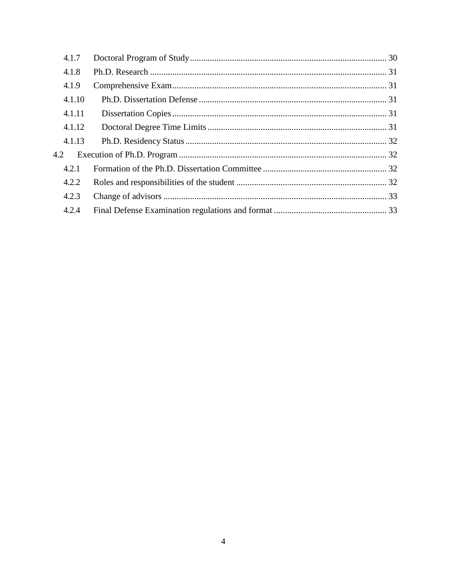| 4.1.7  |  |  |  |
|--------|--|--|--|
| 4.1.8  |  |  |  |
| 4.1.9  |  |  |  |
| 4.1.10 |  |  |  |
| 4.1.11 |  |  |  |
| 4.1.12 |  |  |  |
| 4.1.13 |  |  |  |
| 4.2    |  |  |  |
| 4.2.1  |  |  |  |
| 4.2.2  |  |  |  |
| 4.2.3  |  |  |  |
| 4.2.4  |  |  |  |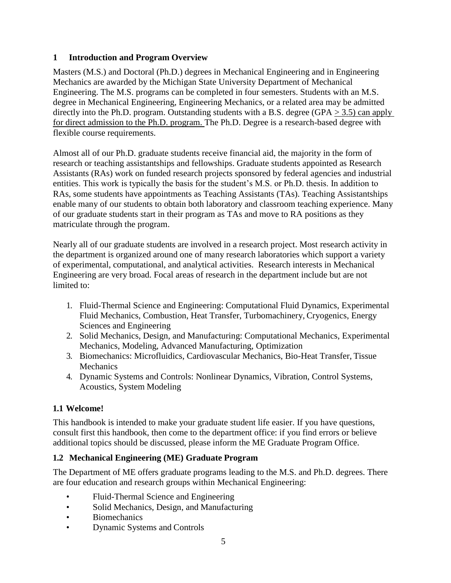# **1 Introduction and Program Overview**

Masters (M.S.) and Doctoral (Ph.D.) degrees in Mechanical Engineering and in Engineering Mechanics are awarded by the Michigan State University Department of Mechanical Engineering. The M.S. programs can be completed in four semesters. Students with an M.S. degree in Mechanical Engineering, Engineering Mechanics, or a related area may be admitted directly into the Ph.D. program. Outstanding students with a B.S. degree (GPA  $>$  3.5) can apply for direct admission to the Ph.D. program. The Ph.D. Degree is a research-based degree with flexible course requirements.

Almost all of our Ph.D. graduate students receive financial aid, the majority in the form of research or teaching assistantships and fellowships. Graduate students appointed as Research Assistants (RAs) work on funded research projects sponsored by federal agencies and industrial entities. This work is typically the basis for the student's M.S. or Ph.D. thesis. In addition to RAs, some students have appointments as Teaching Assistants (TAs). Teaching Assistantships enable many of our students to obtain both laboratory and classroom teaching experience. Many of our graduate students start in their program as TAs and move to RA positions as they matriculate through the program.

Nearly all of our graduate students are involved in a research project. Most research activity in the department is organized around one of many research laboratories which support a variety of experimental, computational, and analytical activities. Research interests in Mechanical Engineering are very broad. Focal areas of research in the department include but are not limited to:

- 1. Fluid-Thermal Science and Engineering: Computational Fluid Dynamics, Experimental Fluid Mechanics, Combustion, Heat Transfer, Turbomachinery, Cryogenics, Energy Sciences and Engineering
- 2. Solid Mechanics, Design, and Manufacturing: Computational Mechanics, Experimental Mechanics, Modeling, Advanced Manufacturing, Optimization
- 3. Biomechanics: Microfluidics, Cardiovascular Mechanics, Bio-Heat Transfer, Tissue **Mechanics**
- 4. Dynamic Systems and Controls: Nonlinear Dynamics, Vibration, Control Systems, Acoustics, System Modeling

# **1.1 Welcome!**

This handbook is intended to make your graduate student life easier. If you have questions, consult first this handbook, then come to the department office: if you find errors or believe additional topics should be discussed, please inform the ME Graduate Program Office.

# **1.2 Mechanical Engineering (ME) Graduate Program**

The Department of ME offers graduate programs leading to the M.S. and Ph.D. degrees. There are four education and research groups within Mechanical Engineering:

- Fluid-Thermal Science and Engineering
- Solid Mechanics, Design, and Manufacturing
- **Biomechanics**
- Dynamic Systems and Controls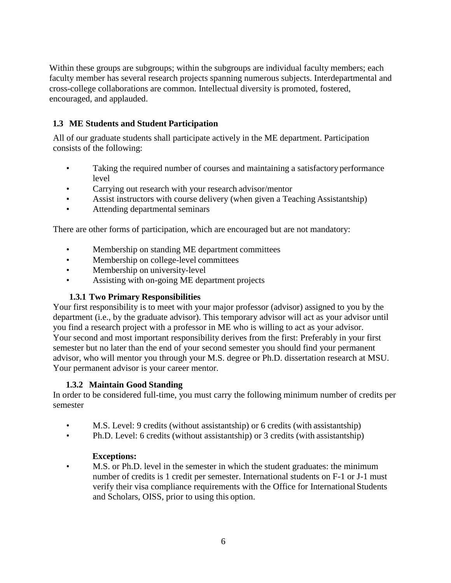Within these groups are subgroups; within the subgroups are individual faculty members; each faculty member has several research projects spanning numerous subjects. Interdepartmental and cross-college collaborations are common. Intellectual diversity is promoted, fostered, encouraged, and applauded.

# **1.3 ME Students and Student Participation**

All of our graduate students shall participate actively in the ME department. Participation consists of the following:

- Taking the required number of courses and maintaining a satisfactory performance level
- Carrying out research with your research advisor/mentor
- Assist instructors with course delivery (when given a Teaching Assistantship)
- Attending departmental seminars

There are other forms of participation, which are encouraged but are not mandatory:

- Membership on standing ME department committees
- Membership on college-level committees
- Membership on university-level
- Assisting with on-going ME department projects

# **1.3.1 Two Primary Responsibilities**

Your first responsibility is to meet with your major professor (advisor) assigned to you by the department (i.e., by the graduate advisor). This temporary advisor will act as your advisor until you find a research project with a professor in ME who is willing to act as your advisor. Your second and most important responsibility derives from the first: Preferably in your first semester but no later than the end of your second semester you should find your permanent advisor, who will mentor you through your M.S. degree or Ph.D. dissertation research at MSU. Your permanent advisor is your career mentor.

# **1.3.2 Maintain Good Standing**

In order to be considered full-time, you must carry the following minimum number of credits per semester

- M.S. Level: 9 credits (without assistantship) or 6 credits (with assistantship)
- Ph.D. Level: 6 credits (without assistantship) or 3 credits (with assistantship)

#### **Exceptions:**

• M.S. or Ph.D. level in the semester in which the student graduates: the minimum number of credits is 1 credit per semester. International students on F-1 or J-1 must verify their visa compliance requirements with the Office for International Students and Scholars, OISS, prior to using this option.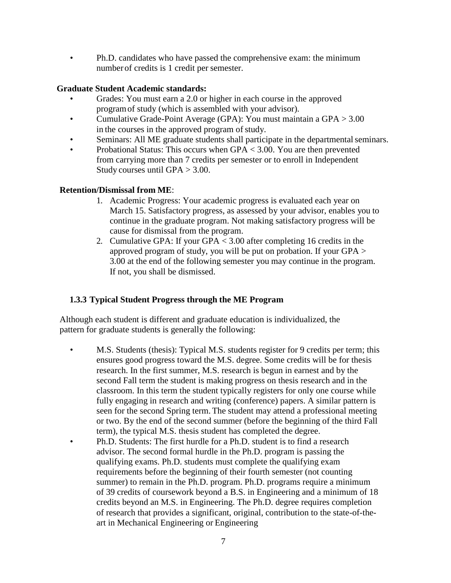• Ph.D. candidates who have passed the comprehensive exam: the minimum number of credits is 1 credit per semester.

#### **Graduate Student Academic standards:**

- Grades: You must earn a 2.0 or higher in each course in the approved programof study (which is assembled with your advisor).
- Cumulative Grade-Point Average (GPA): You must maintain a GPA > 3.00 in the courses in the approved program of study.
- Seminars: All ME graduate students shall participate in the departmental seminars.
- Probational Status: This occurs when GPA < 3.00. You are then prevented from carrying more than 7 credits per semester or to enroll in Independent Study courses until GPA > 3.00.

#### **Retention/Dismissal from ME**:

- 1. Academic Progress: Your academic progress is evaluated each year on March 15. Satisfactory progress, as assessed by your advisor, enables you to continue in the graduate program. Not making satisfactory progress will be cause for dismissal from the program.
- 2. Cumulative GPA: If your GPA < 3.00 after completing 16 credits in the approved program of study, you will be put on probation. If your GPA > 3.00 at the end of the following semester you may continue in the program. If not, you shall be dismissed.

#### **1.3.3 Typical Student Progress through the ME Program**

Although each student is different and graduate education is individualized, the pattern for graduate students is generally the following:

- M.S. Students (thesis): Typical M.S. students register for 9 credits per term; this ensures good progress toward the M.S. degree. Some credits will be for thesis research. In the first summer, M.S. research is begun in earnest and by the second Fall term the student is making progress on thesis research and in the classroom. In this term the student typically registers for only one course while fully engaging in research and writing (conference) papers. A similar pattern is seen for the second Spring term. The student may attend a professional meeting or two. By the end of the second summer (before the beginning of the third Fall term), the typical M.S. thesis student has completed the degree.
- Ph.D. Students: The first hurdle for a Ph.D. student is to find a research advisor. The second formal hurdle in the Ph.D. program is passing the qualifying exams. Ph.D. students must complete the qualifying exam requirements before the beginning of their fourth semester (not counting summer) to remain in the Ph.D. program. Ph.D. programs require a minimum of 39 credits of coursework beyond a B.S. in Engineering and a minimum of 18 credits beyond an M.S. in Engineering. The Ph.D. degree requires completion of research that provides a significant, original, contribution to the state-of-theart in Mechanical Engineering or Engineering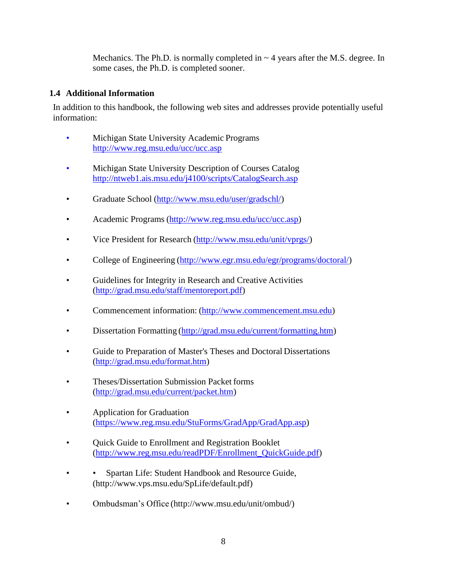Mechanics. The Ph.D. is normally completed in  $\sim$  4 years after the M.S. degree. In some cases, the Ph.D. is completed sooner.

#### **1.4 Additional Information**

In addition to this handbook, the following web sites and addresses provide potentially useful information:

- Michigan State University Academic Programs <http://www.reg.msu.edu/ucc/ucc.asp>
- Michigan State University Description of Courses Catalog <http://ntweb1.ais.msu.edu/j4100/scripts/CatalogSearch.asp>
- Graduate School [\(http://www.msu.edu/user/gradschl/\)](http://www.msu.edu/user/gradschl/)
- Academic Programs [\(http://www.reg.msu.edu/ucc/ucc.asp\)](http://www.reg.msu.edu/ucc/ucc.asp)
- Vice President for Research [\(http://www.msu.edu/unit/vprgs/\)](http://www.msu.edu/unit/vprgs/)
- College of Engineering [\(http://www.egr.msu.edu/egr/programs/doctoral/\)](http://www.egr.msu.edu/egr/programs/doctoral/)
- Guidelines for Integrity in Research and Creative Activities [\(http://grad.msu.edu/staff/mentoreport.pdf\)](http://grad.msu.edu/staff/mentoreport.pdf)
- Commencement information: [\(http://www.commencement.msu.edu\)](http://www.commencement.msu.edu/)
- Dissertation Formatting [\(http://grad.msu.edu/current/formatting.htm\)](http://grad.msu.edu/current/formatting.htm)
- Guide to Preparation of Master's Theses and Doctoral Dissertations [\(http://grad.msu.edu/format.htm\)](http://grad.msu.edu/format.htm)
- Theses/Dissertation Submission Packet forms [\(http://grad.msu.edu/current/packet.htm\)](http://grad.msu.edu/current/packet.htm)
- Application for Graduation [\(https://www.reg.msu.edu/StuForms/GradApp/GradApp.asp\)](https://www.reg.msu.edu/StuForms/GradApp/GradApp.asp)
- Quick Guide to Enrollment and Registration Booklet [\(http://www.reg.msu.edu/readPDF/Enrollment\\_QuickGuide.pdf\)](http://www.reg.msu.edu/readPDF/Enrollment_QuickGuide.pdf)
- Spartan Life: Student Handbook and Resource Guide, [\(http://www.vps.msu.edu/SpLife/default.pdf\)](http://www.vps.msu.edu/SpLife/default.pdf))
- Ombudsman's Office [\(http://www.msu.edu/unit/ombud/\)](http://www.msu.edu/unit/ombud/))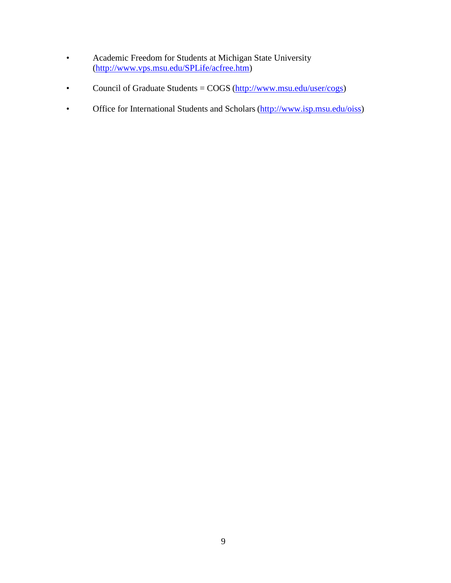- Academic Freedom for Students at Michigan State University [\(http://www.vps.msu.edu/SPLife/acfree.htm\)](http://www.vps.msu.edu/SPLife/acfree.htm)
- Council of Graduate Students = COGS [\(http://www.msu.edu/user/cogs\)](http://www.msu.edu/user/cogs)
- Office for International Students and Scholars [\(http://www.isp.msu.edu/oiss\)](http://www.isp.msu.edu/oiss)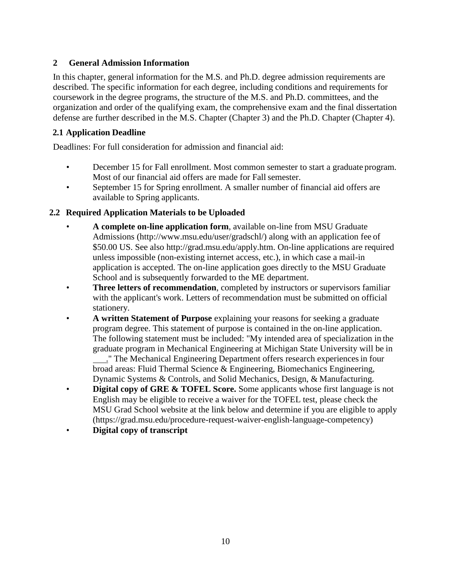# **2 General Admission Information**

In this chapter, general information for the M.S. and Ph.D. degree admission requirements are described. The specific information for each degree, including conditions and requirements for coursework in the degree programs, the structure of the M.S. and Ph.D. committees, and the organization and order of the qualifying exam, the comprehensive exam and the final dissertation defense are further described in the M.S. Chapter (Chapter 3) and the Ph.D. Chapter (Chapter 4).

# **2.1 Application Deadline**

Deadlines: For full consideration for admission and financial aid:

- December 15 for Fall enrollment. Most common semester to start a graduate program. Most of our financial aid offers are made for Fallsemester.
- September 15 for Spring enrollment. A smaller number of financial aid offers are available to Spring applicants.

# **2.2 Required Application Materials to be Uploaded**

- **A complete on-line application form**, available on-line from MSU Graduate Admissions [\(http://www.msu.edu/user/gradschl/\)](http://www.msu.edu/user/gradschl/)) along with an application fee of \$50.00 US. See also [http://grad.msu.edu/apply.htm.](http://grad.msu.edu/apply.htm) On-line applications are required unless impossible (non-existing internet access, etc.), in which case a mail-in application is accepted. The on-line application goes directly to the MSU Graduate School and is subsequently forwarded to the ME department.
- **Three letters of recommendation**, completed by instructors or supervisors familiar with the applicant's work. Letters of recommendation must be submitted on official stationery.
- **A written Statement of Purpose** explaining your reasons for seeking a graduate program degree. This statement of purpose is contained in the on-line application. The following statement must be included: "My intended area of specialization in the graduate program in Mechanical Engineering at Michigan State University will be in ." The Mechanical Engineering Department offers research experiencesin four broad areas: Fluid Thermal Science & Engineering, Biomechanics Engineering,
	- Dynamic Systems & Controls, and Solid Mechanics, Design, & Manufacturing.
- **Digital copy of GRE & TOFEL Score.** Some applicants whose first language is not English may be eligible to receive a waiver for the TOFEL test, please check the MSU Grad School website at the link below and determine if you are eligible to apply (https://grad.msu.edu/procedure-request-waiver-english-language-competency)
- **Digital copy of transcript**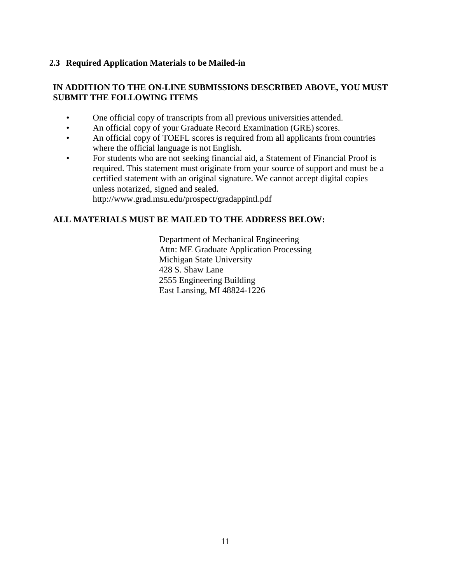#### **2.3 Required Application Materials to be Mailed-in**

# **IN ADDITION TO THE ON-LINE SUBMISSIONS DESCRIBED ABOVE, YOU MUST SUBMIT THE FOLLOWING ITEMS**

- One official copy of transcripts from all previous universities attended.
- An official copy of your Graduate Record Examination (GRE) scores.
- An official copy of TOEFL scores is required from all applicants from countries where the official language is not English.
- For students who are not seeking financial aid, a Statement of Financial Proof is required. This statement must originate from your source of support and must be a certified statement with an original signature. We cannot accept digital copies unless notarized, signed and sealed. <http://www.grad.msu.edu/prospect/gradappintl.pdf>

# **ALL MATERIALS MUST BE MAILED TO THE ADDRESS BELOW:**

Department of Mechanical Engineering Attn: ME Graduate Application Processing Michigan State University 428 S. Shaw Lane 2555 Engineering Building East Lansing, MI 48824-1226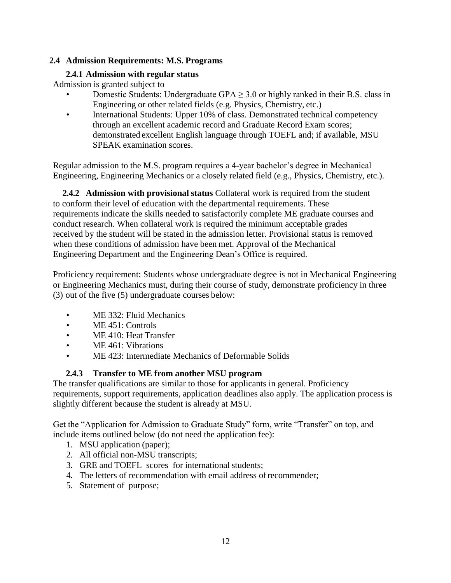#### **2.4 Admission Requirements: M.S. Programs**

#### **2.4.1 Admission with regular status**

Admission is granted subject to

- Domestic Students: Undergraduate GPA  $\geq$  3.0 or highly ranked in their B.S. class in Engineering or other related fields (e.g. Physics, Chemistry, etc.)
- International Students: Upper 10% of class. Demonstrated technical competency through an excellent academic record and Graduate Record Exam scores; demonstrated excellent English language through TOEFL and; if available, MSU SPEAK examination scores.

Regular admission to the M.S. program requires a 4-year bachelor's degree in Mechanical Engineering, Engineering Mechanics or a closely related field (e.g., Physics, Chemistry, etc.).

**2.4.2 Admission with provisional status** Collateral work is required from the student to conform their level of education with the departmental requirements. These requirements indicate the skills needed to satisfactorily complete ME graduate courses and conduct research. When collateral work is required the minimum acceptable grades received by the student will be stated in the admission letter. Provisional status is removed when these conditions of admission have been met. Approval of the Mechanical Engineering Department and the Engineering Dean's Office is required.

Proficiency requirement: Students whose undergraduate degree is not in Mechanical Engineering or Engineering Mechanics must, during their course of study, demonstrate proficiency in three (3) out of the five (5) undergraduate courses below:

- ME 332: Fluid Mechanics
- ME 451: Controls
- ME 410: Heat Transfer
- ME 461: Vibrations
- ME 423: Intermediate Mechanics of Deformable Solids

#### **2.4.3 Transfer to ME from another MSU program**

The transfer qualifications are similar to those for applicants in general. Proficiency requirements, support requirements, application deadlines also apply. The application process is slightly different because the student is already at MSU.

Get the "Application for Admission to Graduate Study" form, write "Transfer" on top, and include items outlined below (do not need the application fee):

- 1. MSU application (paper);
- 2. All official non-MSU transcripts;
- 3. GRE and TOEFL scores for international students;
- 4. The letters of recommendation with email address ofrecommender;
- 5. Statement of purpose;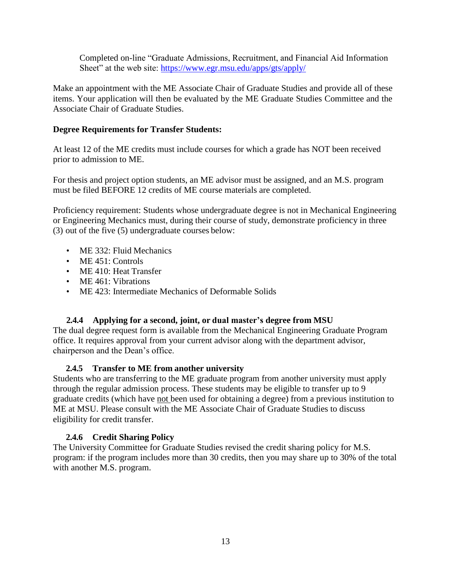Completed on-line "Graduate Admissions, Recruitment, and Financial Aid Information Sheet" at the web site:<https://www.egr.msu.edu/apps/gts/apply/>

Make an appointment with the ME Associate Chair of Graduate Studies and provide all of these items. Your application will then be evaluated by the ME Graduate Studies Committee and the Associate Chair of Graduate Studies.

#### **Degree Requirements for Transfer Students:**

At least 12 of the ME credits must include courses for which a grade has NOT been received prior to admission to ME.

For thesis and project option students, an ME advisor must be assigned, and an M.S. program must be filed BEFORE 12 credits of ME course materials are completed.

Proficiency requirement: Students whose undergraduate degree is not in Mechanical Engineering or Engineering Mechanics must, during their course of study, demonstrate proficiency in three (3) out of the five (5) undergraduate courses below:

- ME 332: Fluid Mechanics
- ME 451: Controls
- ME 410: Heat Transfer
- ME 461: Vibrations
- ME 423: Intermediate Mechanics of Deformable Solids

#### **2.4.4 Applying for a second, joint, or dual master's degree from MSU**

The dual degree request form is available from the Mechanical Engineering Graduate Program office. It requires approval from your current advisor along with the department advisor, chairperson and the Dean's office.

#### **2.4.5 Transfer to ME from another university**

Students who are transferring to the ME graduate program from another university must apply through the regular admission process. These students may be eligible to transfer up to 9 graduate credits (which have not been used for obtaining a degree) from a previous institution to ME at MSU. Please consult with the ME Associate Chair of Graduate Studies to discuss eligibility for credit transfer.

#### **2.4.6 Credit Sharing Policy**

The University Committee for Graduate Studies revised the credit sharing policy for M.S. program: if the program includes more than 30 credits, then you may share up to 30% of the total with another M.S. program.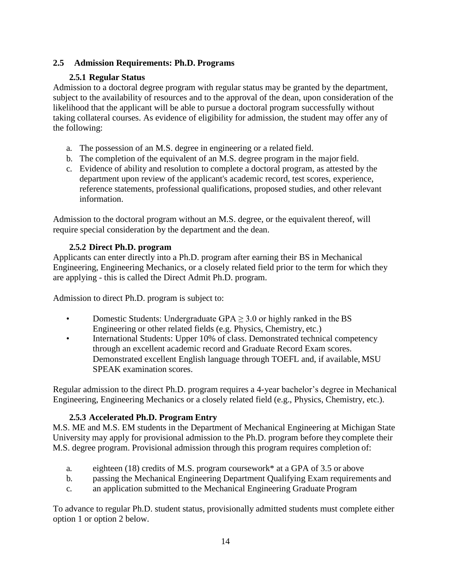#### **2.5 Admission Requirements: Ph.D. Programs**

# **2.5.1 Regular Status**

Admission to a doctoral degree program with regular status may be granted by the department, subject to the availability of resources and to the approval of the dean, upon consideration of the likelihood that the applicant will be able to pursue a doctoral program successfully without taking collateral courses. As evidence of eligibility for admission, the student may offer any of the following:

- a. The possession of an M.S. degree in engineering or a related field.
- b. The completion of the equivalent of an M.S. degree program in the major field.
- c. Evidence of ability and resolution to complete a doctoral program, as attested by the department upon review of the applicant's academic record, test scores, experience, reference statements, professional qualifications, proposed studies, and other relevant information.

Admission to the doctoral program without an M.S. degree, or the equivalent thereof, will require special consideration by the department and the dean.

# **2.5.2 Direct Ph.D. program**

Applicants can enter directly into a Ph.D. program after earning their BS in Mechanical Engineering, Engineering Mechanics, or a closely related field prior to the term for which they are applying - this is called the Direct Admit Ph.D. program.

Admission to direct Ph.D. program is subject to:

- Domestic Students: Undergraduate GPA  $\geq$  3.0 or highly ranked in the BS Engineering or other related fields (e.g. Physics, Chemistry, etc.)
- International Students: Upper 10% of class. Demonstrated technical competency through an excellent academic record and Graduate Record Exam scores. Demonstrated excellent English language through TOEFL and, if available, MSU SPEAK examination scores.

Regular admission to the direct Ph.D. program requires a 4-year bachelor's degree in Mechanical Engineering, Engineering Mechanics or a closely related field (e.g., Physics, Chemistry, etc.).

# **2.5.3 Accelerated Ph.D. Program Entry**

M.S. ME and M.S. EM students in the Department of Mechanical Engineering at Michigan State University may apply for provisional admission to the Ph.D. program before they complete their M.S. degree program. Provisional admission through this program requires completion of:

- a. eighteen (18) credits of M.S. program coursework\* at a GPA of 3.5 or above
- b. passing the Mechanical Engineering Department Qualifying Exam requirements and
- c. an application submitted to the Mechanical Engineering Graduate Program

To advance to regular Ph.D. student status, provisionally admitted students must complete either option 1 or option 2 below.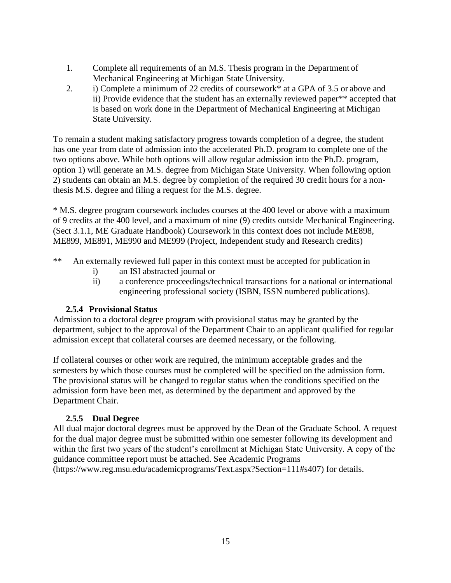- 1. Complete all requirements of an M.S. Thesis program in the Department of Mechanical Engineering at Michigan State University.
- 2. i) Complete a minimum of 22 credits of coursework\* at a GPA of 3.5 or above and ii) Provide evidence that the student has an externally reviewed paper\*\* accepted that is based on work done in the Department of Mechanical Engineering at Michigan State University.

To remain a student making satisfactory progress towards completion of a degree, the student has one year from date of admission into the accelerated Ph.D. program to complete one of the two options above. While both options will allow regular admission into the Ph.D. program, option 1) will generate an M.S. degree from Michigan State University. When following option 2) students can obtain an M.S. degree by completion of the required 30 credit hours for a nonthesis M.S. degree and filing a request for the M.S. degree.

\* M.S. degree program coursework includes courses at the 400 level or above with a maximum of 9 credits at the 400 level, and a maximum of nine (9) credits outside Mechanical Engineering. (Sect 3.1.1, ME Graduate Handbook) Coursework in this context does not include ME898, ME899, ME891, ME990 and ME999 (Project, Independent study and Research credits)

- \*\* An externally reviewed full paper in this context must be accepted for publication in
	- i) an ISI abstracted journal or
	- ii) a conference proceedings/technical transactions for a national or international engineering professional society (ISBN, ISSN numbered publications).

# **2.5.4 Provisional Status**

Admission to a doctoral degree program with provisional status may be granted by the department, subject to the approval of the Department Chair to an applicant qualified for regular admission except that collateral courses are deemed necessary, or the following.

If collateral courses or other work are required, the minimum acceptable grades and the semesters by which those courses must be completed will be specified on the admission form. The provisional status will be changed to regular status when the conditions specified on the admission form have been met, as determined by the department and approved by the Department Chair.

# **2.5.5 Dual Degree**

All dual major doctoral degrees must be approved by the Dean of the Graduate School. A request for the dual major degree must be submitted within one semester following its development and within the first two years of the student's enrollment at Michigan State University. A copy of the guidance committee report must be attached. See Academic Programs (https:/[/www.reg.msu.edu/academicprograms/Text.aspx?Section=111#s407\)](http://www.reg.msu.edu/academicprograms/Text.aspx?Section=111&s407)) for details.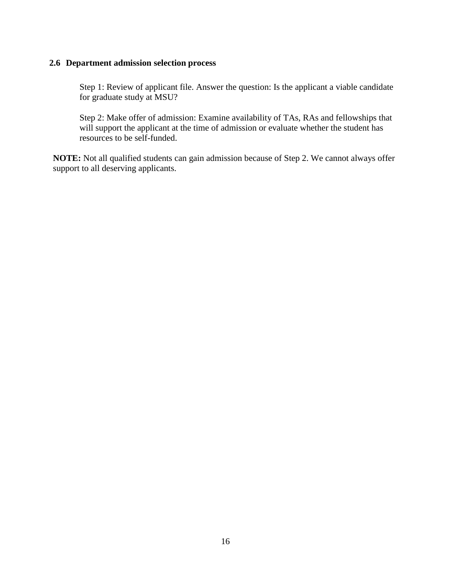#### **2.6 Department admission selection process**

Step 1: Review of applicant file. Answer the question: Is the applicant a viable candidate for graduate study at MSU?

Step 2: Make offer of admission: Examine availability of TAs, RAs and fellowships that will support the applicant at the time of admission or evaluate whether the student has resources to be self-funded.

**NOTE:** Not all qualified students can gain admission because of Step 2. We cannot always offer support to all deserving applicants.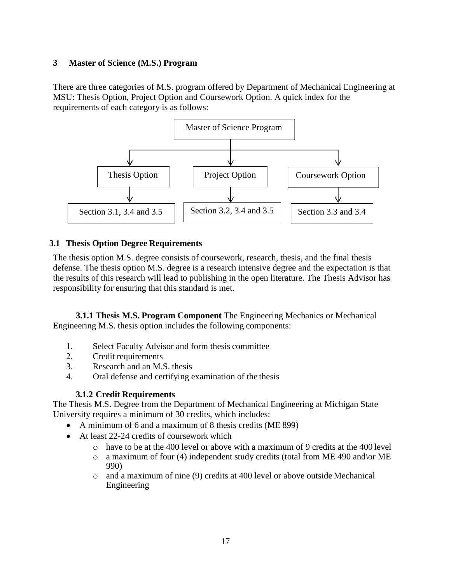#### **3 Master of Science (M.S.) Program**

There are three categories of M.S. program offered by Department of Mechanical Engineering at MSU: Thesis Option, Project Option and Coursework Option. A quick index for the requirements of each category is as follows:



#### **3.1 Thesis Option Degree Requirements**

The thesis option M.S. degree consists of coursework, research, thesis, and the final thesis defense. The thesis option M.S. degree is a research intensive degree and the expectation is that the results of this research will lead to publishing in the open literature. The Thesis Advisor has responsibility for ensuring that this standard is met.

**3.1.1 Thesis M.S. Program Component** The Engineering Mechanics or Mechanical Engineering M.S. thesis option includes the following components:

- 1. Select Faculty Advisor and form thesis committee
- 2. Credit requirements
- 3. Research and an M.S. thesis
- 4. Oral defense and certifying examination of the thesis

#### **3.1.2 Credit Requirements**

The Thesis M.S. Degree from the Department of Mechanical Engineering at Michigan State University requires a minimum of 30 credits, which includes:

- A minimum of 6 and a maximum of 8 thesis credits (ME 899)
- At least 22-24 credits of coursework which
	- $\circ$  have to be at the 400 level or above with a maximum of 9 credits at the 400 level
	- o a maximum of four (4) independent study credits (total from ME 490 and\or ME 990)
	- $\circ$  and a maximum of nine (9) credits at 400 level or above outside Mechanical Engineering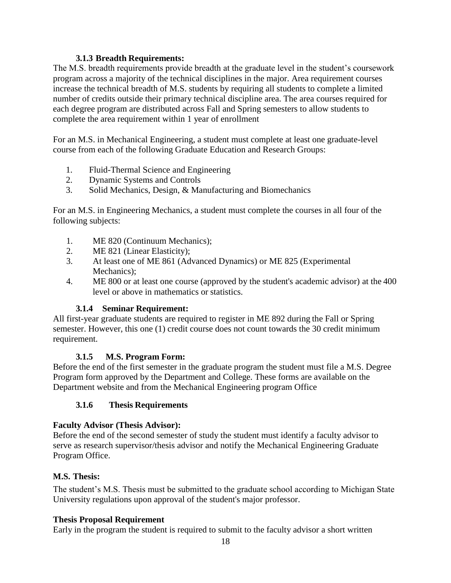#### **3.1.3 Breadth Requirements:**

The M.S. breadth requirements provide breadth at the graduate level in the student's coursework program across a majority of the technical disciplines in the major. Area requirement courses increase the technical breadth of M.S. students by requiring all students to complete a limited number of credits outside their primary technical discipline area. The area courses required for each degree program are distributed across Fall and Spring semesters to allow students to complete the area requirement within 1 year of enrollment

For an M.S. in Mechanical Engineering, a student must complete at least one graduate-level course from each of the following Graduate Education and Research Groups:

- 1. Fluid-Thermal Science and Engineering
- 2. Dynamic Systems and Controls
- 3. Solid Mechanics, Design, & Manufacturing and Biomechanics

For an M.S. in Engineering Mechanics, a student must complete the courses in all four of the following subjects:

- 1. ME 820 (Continuum Mechanics);
- 2. ME 821 (Linear Elasticity);
- 3. At least one of ME 861 (Advanced Dynamics) or ME 825 (Experimental Mechanics);
- 4. ME 800 or at least one course (approved by the student's academic advisor) at the 400 level or above in mathematics or statistics.

#### **3.1.4 Seminar Requirement:**

All first-year graduate students are required to register in ME 892 during the Fall or Spring semester. However, this one (1) credit course does not count towards the 30 credit minimum requirement.

#### **3.1.5 M.S. Program Form:**

Before the end of the first semester in the graduate program the student must file a M.S. Degree Program form approved by the Department and College. These forms are available on the Department website and from the Mechanical Engineering program Office

# **3.1.6 Thesis Requirements**

#### **Faculty Advisor (Thesis Advisor):**

Before the end of the second semester of study the student must identify a faculty advisor to serve as research supervisor/thesis advisor and notify the Mechanical Engineering Graduate Program Office.

#### **M.S. Thesis:**

The student's M.S. Thesis must be submitted to the graduate school according to Michigan State University regulations upon approval of the student's major professor.

#### **Thesis Proposal Requirement**

Early in the program the student is required to submit to the faculty advisor a short written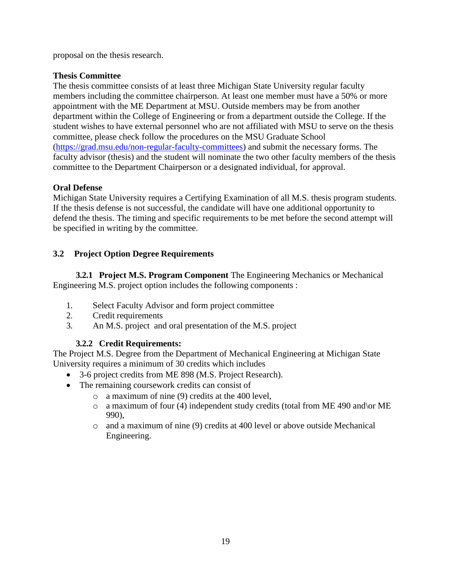proposal on the thesis research.

#### **Thesis Committee**

The thesis committee consists of at least three Michigan State University regular faculty members including the committee chairperson. At least one member must have a 50% or more appointment with the ME Department at MSU. Outside members may be from another department within the College of Engineering or from a department outside the College. If the student wishes to have external personnel who are not affiliated with MSU to serve on the thesis committee, please check follow the procedures on the MSU Graduate School [\(https://grad.msu.edu/non-regular-faculty-committees\)](https://grad.msu.edu/non-regular-faculty-committees) and submit the necessary forms. The faculty advisor (thesis) and the student will nominate the two other faculty members of the thesis committee to the Department Chairperson or a designated individual, for approval.

#### **Oral Defense**

Michigan State University requires a Certifying Examination of all M.S. thesis program students. If the thesis defense is not successful, the candidate will have one additional opportunity to defend the thesis. The timing and specific requirements to be met before the second attempt will be specified in writing by the committee.

#### **3.2 Project Option Degree Requirements**

**3.2.1 Project M.S. Program Component** The Engineering Mechanics or Mechanical Engineering M.S. project option includes the following components :

- 1. Select Faculty Advisor and form project committee
- 2. Credit requirements
- 3. An M.S. project and oral presentation of the M.S. project

#### **3.2.2 Credit Requirements:**

The Project M.S. Degree from the Department of Mechanical Engineering at Michigan State University requires a minimum of 30 credits which includes

- 3-6 project credits from ME 898 (M.S. Project Research).
- The remaining coursework credits can consist of
	- o a maximum of nine (9) credits at the 400 level,
	- o a maximum of four (4) independent study credits (total from ME 490 and\or ME 990),
	- $\circ$  and a maximum of nine (9) credits at 400 level or above outside Mechanical Engineering.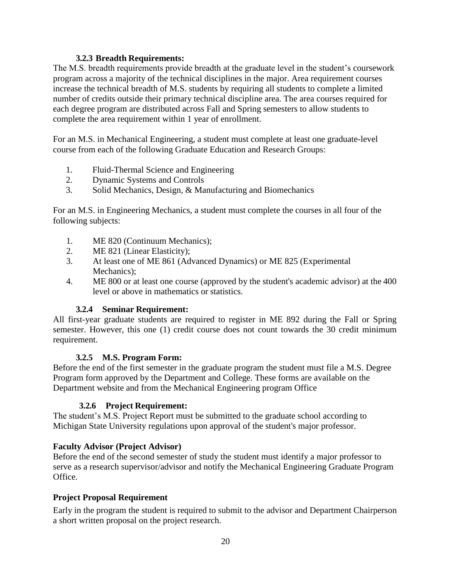#### **3.2.3 Breadth Requirements:**

The M.S. breadth requirements provide breadth at the graduate level in the student's coursework program across a majority of the technical disciplines in the major. Area requirement courses increase the technical breadth of M.S. students by requiring all students to complete a limited number of credits outside their primary technical discipline area. The area courses required for each degree program are distributed across Fall and Spring semesters to allow students to complete the area requirement within 1 year of enrollment.

For an M.S. in Mechanical Engineering, a student must complete at least one graduate-level course from each of the following Graduate Education and Research Groups:

- 1. Fluid-Thermal Science and Engineering
- 2. Dynamic Systems and Controls
- 3. Solid Mechanics, Design, & Manufacturing and Biomechanics

For an M.S. in Engineering Mechanics, a student must complete the courses in all four of the following subjects:

- 1. ME 820 (Continuum Mechanics);
- 2. ME 821 (Linear Elasticity);
- 3. At least one of ME 861 (Advanced Dynamics) or ME 825 (Experimental Mechanics);
- 4. ME 800 or at least one course (approved by the student's academic advisor) at the 400 level or above in mathematics or statistics.

#### **3.2.4 Seminar Requirement:**

All first-year graduate students are required to register in ME 892 during the Fall or Spring semester. However, this one (1) credit course does not count towards the 30 credit minimum requirement.

#### **3.2.5 M.S. Program Form:**

Before the end of the first semester in the graduate program the student must file a M.S. Degree Program form approved by the Department and College. These forms are available on the Department website and from the Mechanical Engineering program Office

#### **3.2.6 Project Requirement:**

The student's M.S. Project Report must be submitted to the graduate school according to Michigan State University regulations upon approval of the student's major professor.

#### **Faculty Advisor (Project Advisor)**

Before the end of the second semester of study the student must identify a major professor to serve as a research supervisor/advisor and notify the Mechanical Engineering Graduate Program Office.

#### **Project Proposal Requirement**

Early in the program the student is required to submit to the advisor and Department Chairperson a short written proposal on the project research.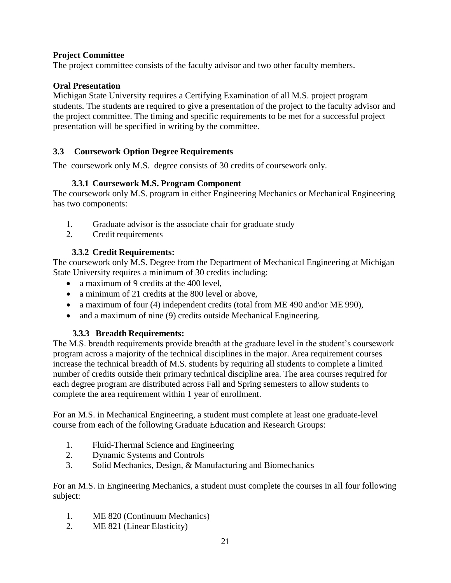#### **Project Committee**

The project committee consists of the faculty advisor and two other faculty members.

#### **Oral Presentation**

Michigan State University requires a Certifying Examination of all M.S. project program students. The students are required to give a presentation of the project to the faculty advisor and the project committee. The timing and specific requirements to be met for a successful project presentation will be specified in writing by the committee.

#### **3.3 Coursework Option Degree Requirements**

The coursework only M.S. degree consists of 30 credits of coursework only.

#### **3.3.1 Coursework M.S. Program Component**

The coursework only M.S. program in either Engineering Mechanics or Mechanical Engineering has two components:

- 1. Graduate advisor is the associate chair for graduate study
- 2. Credit requirements

#### **3.3.2 Credit Requirements:**

The coursework only M.S. Degree from the Department of Mechanical Engineering at Michigan State University requires a minimum of 30 credits including:

- a maximum of 9 credits at the 400 level.
- a minimum of 21 credits at the 800 level or above.
- a maximum of four (4) independent credits (total from ME 490 and\or ME 990),
- and a maximum of nine (9) credits outside Mechanical Engineering.

#### **3.3.3 Breadth Requirements:**

The M.S. breadth requirements provide breadth at the graduate level in the student's coursework program across a majority of the technical disciplines in the major. Area requirement courses increase the technical breadth of M.S. students by requiring all students to complete a limited number of credits outside their primary technical discipline area. The area courses required for each degree program are distributed across Fall and Spring semesters to allow students to complete the area requirement within 1 year of enrollment.

For an M.S. in Mechanical Engineering, a student must complete at least one graduate-level course from each of the following Graduate Education and Research Groups:

- 1. Fluid-Thermal Science and Engineering
- 2. Dynamic Systems and Controls
- 3. Solid Mechanics, Design, & Manufacturing and Biomechanics

For an M.S. in Engineering Mechanics, a student must complete the courses in all four following subject:

- 1. ME 820 (Continuum Mechanics)
- 2. ME 821 (Linear Elasticity)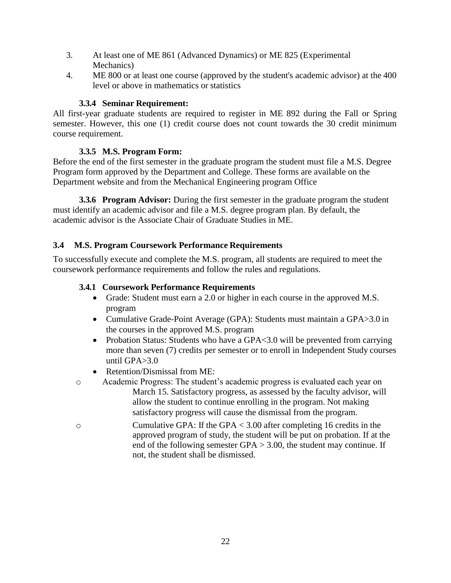- 3. At least one of ME 861 (Advanced Dynamics) or ME 825 (Experimental Mechanics)
- 4. ME 800 or at least one course (approved by the student's academic advisor) at the 400 level or above in mathematics or statistics

# **3.3.4 Seminar Requirement:**

All first-year graduate students are required to register in ME 892 during the Fall or Spring semester. However, this one (1) credit course does not count towards the 30 credit minimum course requirement.

# **3.3.5 M.S. Program Form:**

Before the end of the first semester in the graduate program the student must file a M.S. Degree Program form approved by the Department and College. These forms are available on the Department website and from the Mechanical Engineering program Office

**3.3.6 Program Advisor:** During the first semester in the graduate program the student must identify an academic advisor and file a M.S. degree program plan. By default, the academic advisor is the Associate Chair of Graduate Studies in ME.

# **3.4 M.S. Program Coursework Performance Requirements**

To successfully execute and complete the M.S. program, all students are required to meet the coursework performance requirements and follow the rules and regulations.

# **3.4.1 Coursework Performance Requirements**

- Grade: Student must earn a 2.0 or higher in each course in the approved M.S. program
- Cumulative Grade-Point Average (GPA): Students must maintain a GPA>3.0 in the courses in the approved M.S. program
- Probation Status: Students who have a GPA<3.0 will be prevented from carrying more than seven (7) credits per semester or to enroll in Independent Study courses until GPA $>3.0$
- Retention/Dismissal from ME:
- o Academic Progress: The student's academic progress is evaluated each year on March 15. Satisfactory progress, as assessed by the faculty advisor, will allow the student to continue enrolling in the program. Not making satisfactory progress will cause the dismissal from the program.
- o Cumulative GPA: If the GPA < 3.00 after completing 16 credits in the approved program of study, the student will be put on probation. If at the end of the following semester  $GPA > 3.00$ , the student may continue. If not, the student shall be dismissed.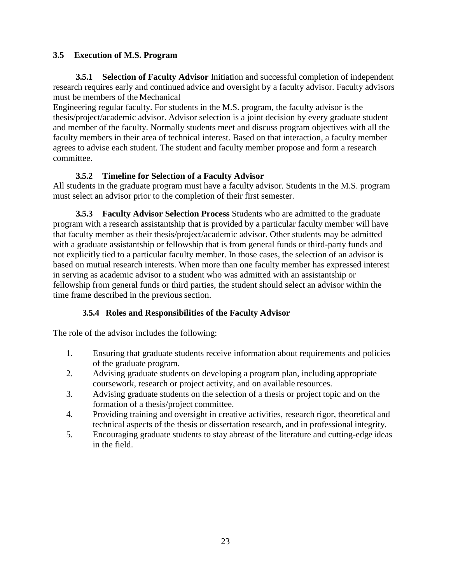# **3.5 Execution of M.S. Program**

**3.5.1 Selection of Faculty Advisor** Initiation and successful completion of independent research requires early and continued advice and oversight by a faculty advisor. Faculty advisors must be members of the Mechanical

Engineering regular faculty. For students in the M.S. program, the faculty advisor is the thesis/project/academic advisor. Advisor selection is a joint decision by every graduate student and member of the faculty. Normally students meet and discuss program objectives with all the faculty members in their area of technical interest. Based on that interaction, a faculty member agrees to advise each student. The student and faculty member propose and form a research committee.

#### **3.5.2 Timeline for Selection of a Faculty Advisor**

All students in the graduate program must have a faculty advisor. Students in the M.S. program must select an advisor prior to the completion of their first semester.

**3.5.3 Faculty Advisor Selection Process** Students who are admitted to the graduate program with a research assistantship that is provided by a particular faculty member will have that faculty member as their thesis/project/academic advisor. Other students may be admitted with a graduate assistantship or fellowship that is from general funds or third-party funds and not explicitly tied to a particular faculty member. In those cases, the selection of an advisor is based on mutual research interests. When more than one faculty member has expressed interest in serving as academic advisor to a student who was admitted with an assistantship or fellowship from general funds or third parties, the student should select an advisor within the time frame described in the previous section.

# **3.5.4 Roles and Responsibilities of the Faculty Advisor**

The role of the advisor includes the following:

- 1. Ensuring that graduate students receive information about requirements and policies of the graduate program.
- 2. Advising graduate students on developing a program plan, including appropriate coursework, research or project activity, and on available resources.
- 3. Advising graduate students on the selection of a thesis or project topic and on the formation of a thesis/project committee.
- 4. Providing training and oversight in creative activities, research rigor, theoretical and technical aspects of the thesis or dissertation research, and in professional integrity.
- 5. Encouraging graduate students to stay abreast of the literature and cutting-edge ideas in the field.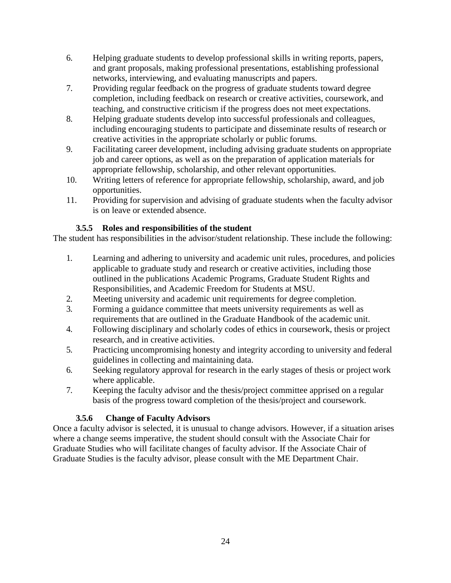- 6. Helping graduate students to develop professional skills in writing reports, papers, and grant proposals, making professional presentations, establishing professional networks, interviewing, and evaluating manuscripts and papers.
- 7. Providing regular feedback on the progress of graduate students toward degree completion, including feedback on research or creative activities, coursework, and teaching, and constructive criticism if the progress does not meet expectations.
- 8. Helping graduate students develop into successful professionals and colleagues, including encouraging students to participate and disseminate results of research or creative activities in the appropriate scholarly or public forums.
- 9. Facilitating career development, including advising graduate students on appropriate job and career options, as well as on the preparation of application materials for appropriate fellowship, scholarship, and other relevant opportunities.
- 10. Writing letters of reference for appropriate fellowship, scholarship, award, and job opportunities.
- 11. Providing for supervision and advising of graduate students when the faculty advisor is on leave or extended absence.

# **3.5.5 Roles and responsibilities of the student**

The student has responsibilities in the advisor/student relationship. These include the following:

- 1. Learning and adhering to university and academic unit rules, procedures, and policies applicable to graduate study and research or creative activities, including those outlined in the publications Academic Programs, Graduate Student Rights and Responsibilities, and Academic Freedom for Students at MSU.
- 2. Meeting university and academic unit requirements for degree completion.
- 3. Forming a guidance committee that meets university requirements as well as requirements that are outlined in the Graduate Handbook of the academic unit.
- 4. Following disciplinary and scholarly codes of ethics in coursework, thesis or project research, and in creative activities.
- 5. Practicing uncompromising honesty and integrity according to university and federal guidelines in collecting and maintaining data.
- 6. Seeking regulatory approval for research in the early stages of thesis or project work where applicable.
- 7. Keeping the faculty advisor and the thesis/project committee apprised on a regular basis of the progress toward completion of the thesis/project and coursework.

# **3.5.6 Change of Faculty Advisors**

Once a faculty advisor is selected, it is unusual to change advisors. However, if a situation arises where a change seems imperative, the student should consult with the Associate Chair for Graduate Studies who will facilitate changes of faculty advisor. If the Associate Chair of Graduate Studies is the faculty advisor, please consult with the ME Department Chair.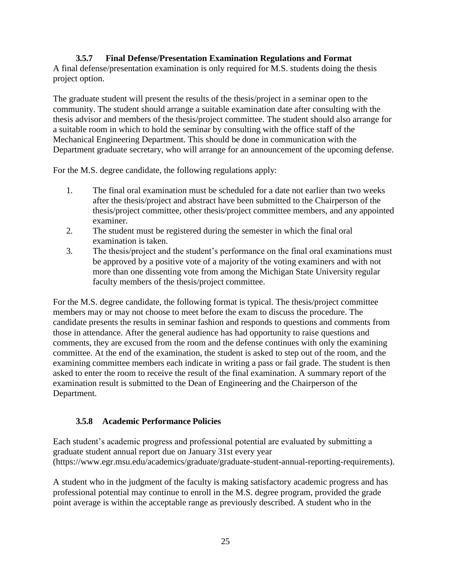# **3.5.7 Final Defense/Presentation Examination Regulations and Format**

A final defense/presentation examination is only required for M.S. students doing the thesis project option.

The graduate student will present the results of the thesis/project in a seminar open to the community. The student should arrange a suitable examination date after consulting with the thesis advisor and members of the thesis/project committee. The student should also arrange for a suitable room in which to hold the seminar by consulting with the office staff of the Mechanical Engineering Department. This should be done in communication with the Department graduate secretary, who will arrange for an announcement of the upcoming defense.

For the M.S. degree candidate, the following regulations apply:

- 1. The final oral examination must be scheduled for a date not earlier than two weeks after the thesis/project and abstract have been submitted to the Chairperson of the thesis/project committee, other thesis/project committee members, and any appointed examiner.
- 2. The student must be registered during the semester in which the final oral examination is taken.
- 3. The thesis/project and the student's performance on the final oral examinations must be approved by a positive vote of a majority of the voting examiners and with not more than one dissenting vote from among the Michigan State University regular faculty members of the thesis/project committee.

For the M.S. degree candidate, the following format is typical. The thesis/project committee members may or may not choose to meet before the exam to discuss the procedure. The candidate presents the results in seminar fashion and responds to questions and comments from those in attendance. After the general audience has had opportunity to raise questions and comments, they are excused from the room and the defense continues with only the examining committee. At the end of the examination, the student is asked to step out of the room, and the examining committee members each indicate in writing a pass or fail grade. The student is then asked to enter the room to receive the result of the final examination. A summary report of the examination result is submitted to the Dean of Engineering and the Chairperson of the Department.

#### **3.5.8 Academic Performance Policies**

Each student's academic progress and professional potential are evaluated by submitting a graduate student annual report due on January 31st every year (https:[//www.egr.msu.edu/academics/graduate/graduate-student-annual-reporting-requirements\).](http://www.egr.msu.edu/academics/graduate/graduate-student-annual-reporting-requirements))

A student who in the judgment of the faculty is making satisfactory academic progress and has professional potential may continue to enroll in the M.S. degree program, provided the grade point average is within the acceptable range as previously described. A student who in the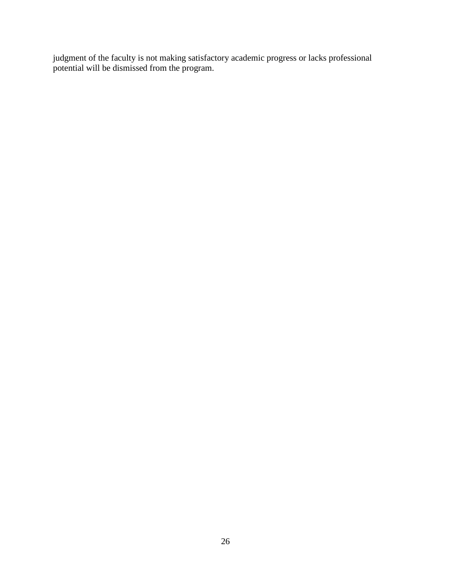judgment of the faculty is not making satisfactory academic progress or lacks professional potential will be dismissed from the program.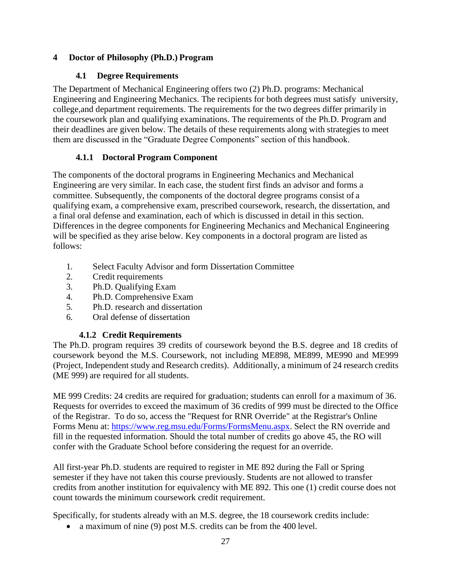# **4 Doctor of Philosophy (Ph.D.) Program**

# **4.1 Degree Requirements**

The Department of Mechanical Engineering offers two (2) Ph.D. programs: Mechanical Engineering and Engineering Mechanics. The recipients for both degrees must satisfy university, college,and department requirements. The requirements for the two degrees differ primarily in the coursework plan and qualifying examinations. The requirements of the Ph.D. Program and their deadlines are given below. The details of these requirements along with strategies to meet them are discussed in the "Graduate Degree Components" section of this handbook.

# **4.1.1 Doctoral Program Component**

The components of the doctoral programs in Engineering Mechanics and Mechanical Engineering are very similar. In each case, the student first finds an advisor and forms a committee. Subsequently, the components of the doctoral degree programs consist of a qualifying exam, a comprehensive exam, prescribed coursework, research, the dissertation, and a final oral defense and examination, each of which is discussed in detail in this section. Differences in the degree components for Engineering Mechanics and Mechanical Engineering will be specified as they arise below. Key components in a doctoral program are listed as follows:

- 1. Select Faculty Advisor and form Dissertation Committee
- 2. Credit requirements
- 3. Ph.D. Qualifying Exam
- 4. Ph.D. Comprehensive Exam
- 5. Ph.D. research and dissertation
- 6. Oral defense of dissertation

#### **4.1.2 Credit Requirements**

The Ph.D. program requires 39 credits of coursework beyond the B.S. degree and 18 credits of coursework beyond the M.S. Coursework, not including ME898, ME899, ME990 and ME999 (Project, Independent study and Research credits). Additionally, a minimum of 24 research credits (ME 999) are required for all students.

ME 999 Credits: 24 credits are required for graduation; students can enroll for a maximum of 36. Requests for overrides to exceed the maximum of 36 credits of 999 must be directed to the Office of the Registrar. To do so, access the "Request for RNR Override" at the Registrar's Online Forms Menu at: [https://www.reg.msu.edu/Forms/FormsMenu.aspx.](https://www.reg.msu.edu/Forms/FormsMenu.aspx) Select the RN override and fill in the requested information. Should the total number of credits go above 45, the RO will confer with the Graduate School before considering the request for an override.

All first-year Ph.D. students are required to register in ME 892 during the Fall or Spring semester if they have not taken this course previously. Students are not allowed to transfer credits from another institution for equivalency with ME 892. This one (1) credit course does not count towards the minimum coursework credit requirement.

Specifically, for students already with an M.S. degree, the 18 coursework credits include:

• a maximum of nine (9) post M.S. credits can be from the 400 level.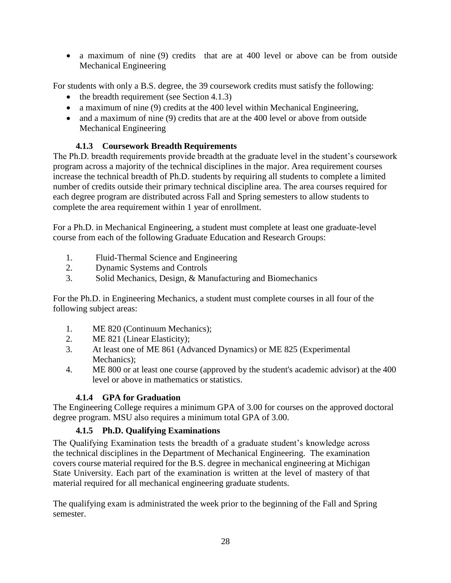• a maximum of nine (9) credits that are at 400 level or above can be from outside Mechanical Engineering

For students with only a B.S. degree, the 39 coursework credits must satisfy the following:

- $\bullet$  the breadth requirement (see Section 4.1.3)
- a maximum of nine (9) credits at the 400 level within Mechanical Engineering,
- and a maximum of nine (9) credits that are at the 400 level or above from outside Mechanical Engineering

# **4.1.3 Coursework Breadth Requirements**

The Ph.D. breadth requirements provide breadth at the graduate level in the student's coursework program across a majority of the technical disciplines in the major. Area requirement courses increase the technical breadth of Ph.D. students by requiring all students to complete a limited number of credits outside their primary technical discipline area. The area courses required for each degree program are distributed across Fall and Spring semesters to allow students to complete the area requirement within 1 year of enrollment.

For a Ph.D. in Mechanical Engineering, a student must complete at least one graduate-level course from each of the following Graduate Education and Research Groups:

- 1. Fluid-Thermal Science and Engineering
- 2. Dynamic Systems and Controls
- 3. Solid Mechanics, Design, & Manufacturing and Biomechanics

For the Ph.D. in Engineering Mechanics, a student must complete courses in all four of the following subject areas:

- 1. ME 820 (Continuum Mechanics);
- 2. ME 821 (Linear Elasticity);
- 3. At least one of ME 861 (Advanced Dynamics) or ME 825 (Experimental Mechanics);
- 4. ME 800 or at least one course (approved by the student's academic advisor) at the 400 level or above in mathematics or statistics.

# **4.1.4 GPA for Graduation**

The Engineering College requires a minimum GPA of 3.00 for courses on the approved doctoral degree program. MSU also requires a minimum total GPA of 3.00.

# **4.1.5 Ph.D. Qualifying Examinations**

The Qualifying Examination tests the breadth of a graduate student's knowledge across the technical disciplines in the Department of Mechanical Engineering. The examination covers course material required for the B.S. degree in mechanical engineering at Michigan State University. Each part of the examination is written at the level of mastery of that material required for all mechanical engineering graduate students.

The qualifying exam is administrated the week prior to the beginning of the Fall and Spring semester.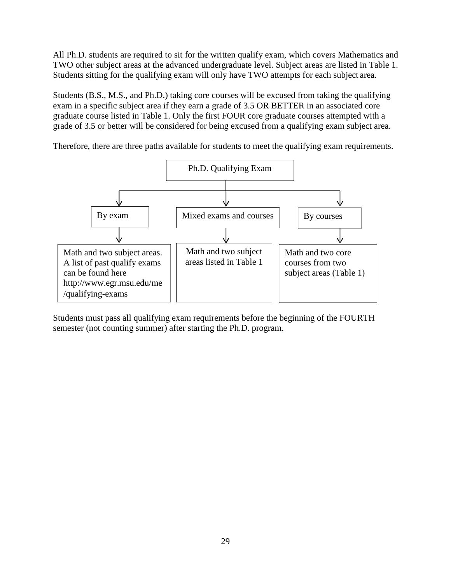All Ph.D. students are required to sit for the written qualify exam, which covers Mathematics and TWO other subject areas at the advanced undergraduate level. Subject areas are listed in Table 1. Students sitting for the qualifying exam will only have TWO attempts for each subject area.

Students (B.S., M.S., and Ph.D.) taking core courses will be excused from taking the qualifying exam in a specific subject area if they earn a grade of 3.5 OR BETTER in an associated core graduate course listed in Table 1. Only the first FOUR core graduate courses attempted with a grade of 3.5 or better will be considered for being excused from a qualifying exam subject area.

Therefore, there are three paths available for students to meet the qualifying exam requirements.



Students must pass all qualifying exam requirements before the beginning of the FOURTH semester (not counting summer) after starting the Ph.D. program.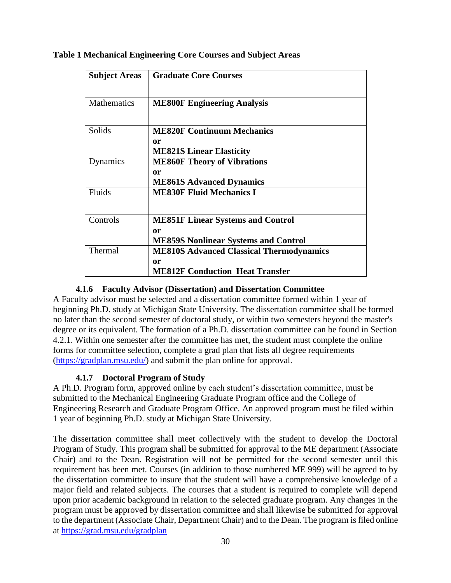| <b>Subject Areas</b> | <b>Graduate Core Courses</b>                                                                    |
|----------------------|-------------------------------------------------------------------------------------------------|
| Mathematics          | <b>ME800F Engineering Analysis</b>                                                              |
| <b>Solids</b>        | <b>ME820F Continuum Mechanics</b><br>0r<br><b>ME821S Linear Elasticity</b>                      |
| Dynamics             | <b>ME860F Theory of Vibrations</b><br>or<br><b>ME861S Advanced Dynamics</b>                     |
| Fluids               | <b>ME830F Fluid Mechanics I</b>                                                                 |
| Controls             | <b>ME851F Linear Systems and Control</b><br>0r<br><b>ME859S Nonlinear Systems and Control</b>   |
| Thermal              | <b>ME810S Advanced Classical Thermodynamics</b><br>or<br><b>ME812F Conduction Heat Transfer</b> |

**Table 1 Mechanical Engineering Core Courses and Subject Areas**

#### **4.1.6 Faculty Advisor (Dissertation) and Dissertation Committee**

A Faculty advisor must be selected and a dissertation committee formed within 1 year of beginning Ph.D. study at Michigan State University. The dissertation committee shall be formed no later than the second semester of doctoral study, or within two semesters beyond the master's degree or its equivalent. The formation of a Ph.D. dissertation committee can be found in Section 4.2.1. Within one semester after the committee has met, the student must complete the online forms for committee selection, complete a grad plan that lists all degree requirements [\(https://gradplan.msu.edu/\)](https://gradplan.msu.edu/) and submit the plan online for approval.

#### **4.1.7 Doctoral Program of Study**

A Ph.D. Program form, approved online by each student's dissertation committee, must be submitted to the Mechanical Engineering Graduate Program office and the College of Engineering Research and Graduate Program Office. An approved program must be filed within 1 year of beginning Ph.D. study at Michigan State University.

The dissertation committee shall meet collectively with the student to develop the Doctoral Program of Study. This program shall be submitted for approval to the ME department (Associate Chair) and to the Dean. Registration will not be permitted for the second semester until this requirement has been met. Courses (in addition to those numbered ME 999) will be agreed to by the dissertation committee to insure that the student will have a comprehensive knowledge of a major field and related subjects. The courses that a student is required to complete will depend upon prior academic background in relation to the selected graduate program. Any changes in the program must be approved by dissertation committee and shall likewise be submitted for approval to the department (Associate Chair, Department Chair) and to the Dean. The program is filed online at <https://grad.msu.edu/gradplan>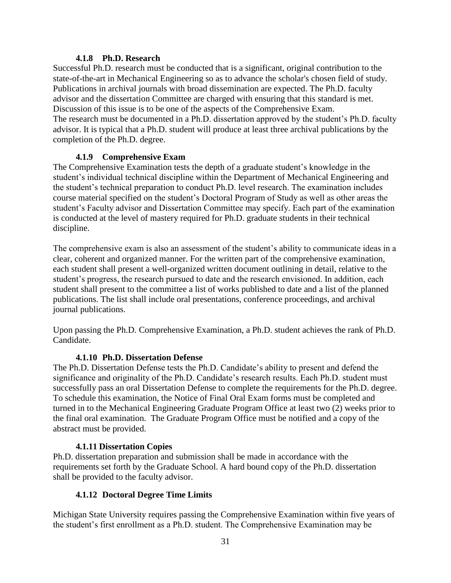#### **4.1.8 Ph.D. Research**

Successful Ph.D. research must be conducted that is a significant, original contribution to the state-of-the-art in Mechanical Engineering so as to advance the scholar's chosen field of study. Publications in archival journals with broad dissemination are expected. The Ph.D. faculty advisor and the dissertation Committee are charged with ensuring that this standard is met. Discussion of this issue is to be one of the aspects of the Comprehensive Exam. The research must be documented in a Ph.D. dissertation approved by the student's Ph.D. faculty advisor. It is typical that a Ph.D. student will produce at least three archival publications by the completion of the Ph.D. degree.

#### **4.1.9 Comprehensive Exam**

The Comprehensive Examination tests the depth of a graduate student's knowledge in the student's individual technical discipline within the Department of Mechanical Engineering and the student's technical preparation to conduct Ph.D. level research. The examination includes course material specified on the student's Doctoral Program of Study as well as other areas the student's Faculty advisor and Dissertation Committee may specify. Each part of the examination is conducted at the level of mastery required for Ph.D. graduate students in their technical discipline.

The comprehensive exam is also an assessment of the student's ability to communicate ideas in a clear, coherent and organized manner. For the written part of the comprehensive examination, each student shall present a well-organized written document outlining in detail, relative to the student's progress, the research pursued to date and the research envisioned. In addition, each student shall present to the committee a list of works published to date and a list of the planned publications. The list shall include oral presentations, conference proceedings, and archival journal publications.

Upon passing the Ph.D. Comprehensive Examination, a Ph.D. student achieves the rank of Ph.D. Candidate.

#### **4.1.10 Ph.D. Dissertation Defense**

The Ph.D. Dissertation Defense tests the Ph.D. Candidate's ability to present and defend the significance and originality of the Ph.D. Candidate's research results. Each Ph.D. student must successfully pass an oral Dissertation Defense to complete the requirements for the Ph.D. degree. To schedule this examination, the Notice of Final Oral Exam forms must be completed and turned in to the Mechanical Engineering Graduate Program Office at least two (2) weeks prior to the final oral examination. The Graduate Program Office must be notified and a copy of the abstract must be provided.

#### **4.1.11 Dissertation Copies**

Ph.D. dissertation preparation and submission shall be made in accordance with the requirements set forth by the Graduate School. A hard bound copy of the Ph.D. dissertation shall be provided to the faculty advisor.

#### **4.1.12 Doctoral Degree Time Limits**

Michigan State University requires passing the Comprehensive Examination within five years of the student's first enrollment as a Ph.D. student. The Comprehensive Examination may be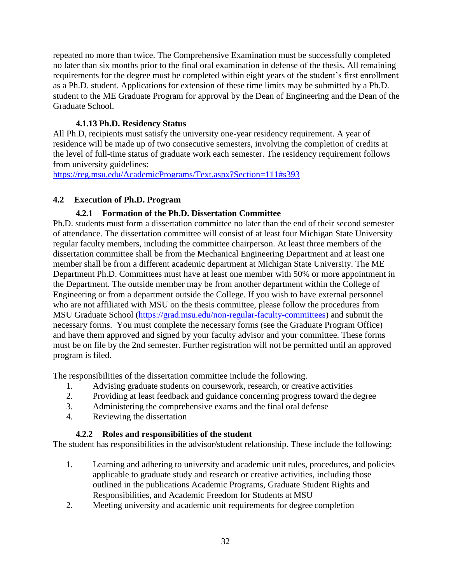repeated no more than twice. The Comprehensive Examination must be successfully completed no later than six months prior to the final oral examination in defense of the thesis. All remaining requirements for the degree must be completed within eight years of the student's first enrollment as a Ph.D. student. Applications for extension of these time limits may be submitted by a Ph.D. student to the ME Graduate Program for approval by the Dean of Engineering and the Dean of the Graduate School.

#### **4.1.13 Ph.D. Residency Status**

All Ph.D, recipients must satisfy the university one-year residency requirement. A year of residence will be made up of two consecutive semesters, involving the completion of credits at the level of full-time status of graduate work each semester. The residency requirement follows from university guidelines:

[https://reg.msu.edu/AcademicPrograms/Text.aspx?Section=111#s393](https://reg.msu.edu/AcademicPrograms/Text.aspx?Section=111&s393)

#### **4.2 Execution of Ph.D. Program**

#### **4.2.1 Formation of the Ph.D. Dissertation Committee**

Ph.D. students must form a dissertation committee no later than the end of their second semester of attendance. The dissertation committee will consist of at least four Michigan State University regular faculty members, including the committee chairperson. At least three members of the dissertation committee shall be from the Mechanical Engineering Department and at least one member shall be from a different academic department at Michigan State University. The ME Department Ph.D. Committees must have at least one member with 50% or more appointment in the Department. The outside member may be from another department within the College of Engineering or from a department outside the College. If you wish to have external personnel who are not affiliated with MSU on the thesis committee, please follow the procedures from MSU Graduate School [\(https://grad.msu.edu/non-regular-faculty-committees\)](https://grad.msu.edu/non-regular-faculty-committees) and submit the necessary forms. You must complete the necessary forms (see the Graduate Program Office) and have them approved and signed by your faculty advisor and your committee. These forms must be on file by the 2nd semester. Further registration will not be permitted until an approved program is filed.

The responsibilities of the dissertation committee include the following.

- 1. Advising graduate students on coursework, research, or creative activities
- 2. Providing at least feedback and guidance concerning progress toward the degree
- 3. Administering the comprehensive exams and the final oral defense
- 4. Reviewing the dissertation

#### **4.2.2 Roles and responsibilities of the student**

The student has responsibilities in the advisor/student relationship. These include the following:

- 1. Learning and adhering to university and academic unit rules, procedures, and policies applicable to graduate study and research or creative activities, including those outlined in the publications Academic Programs, Graduate Student Rights and Responsibilities, and Academic Freedom for Students at MSU
- 2. Meeting university and academic unit requirements for degree completion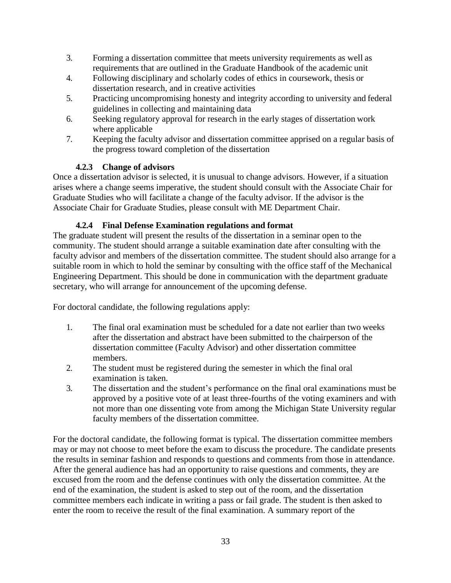- 3. Forming a dissertation committee that meets university requirements as well as requirements that are outlined in the Graduate Handbook of the academic unit
- 4. Following disciplinary and scholarly codes of ethics in coursework, thesis or dissertation research, and in creative activities
- 5. Practicing uncompromising honesty and integrity according to university and federal guidelines in collecting and maintaining data
- 6. Seeking regulatory approval for research in the early stages of dissertation work where applicable
- 7. Keeping the faculty advisor and dissertation committee apprised on a regular basis of the progress toward completion of the dissertation

#### **4.2.3 Change of advisors**

Once a dissertation advisor is selected, it is unusual to change advisors. However, if a situation arises where a change seems imperative, the student should consult with the Associate Chair for Graduate Studies who will facilitate a change of the faculty advisor. If the advisor is the Associate Chair for Graduate Studies, please consult with ME Department Chair.

# **4.2.4 Final Defense Examination regulations and format**

The graduate student will present the results of the dissertation in a seminar open to the community. The student should arrange a suitable examination date after consulting with the faculty advisor and members of the dissertation committee. The student should also arrange for a suitable room in which to hold the seminar by consulting with the office staff of the Mechanical Engineering Department. This should be done in communication with the department graduate secretary, who will arrange for announcement of the upcoming defense.

For doctoral candidate, the following regulations apply:

- 1. The final oral examination must be scheduled for a date not earlier than two weeks after the dissertation and abstract have been submitted to the chairperson of the dissertation committee (Faculty Advisor) and other dissertation committee members.
- 2. The student must be registered during the semester in which the final oral examination is taken.
- 3. The dissertation and the student's performance on the final oral examinations must be approved by a positive vote of at least three-fourths of the voting examiners and with not more than one dissenting vote from among the Michigan State University regular faculty members of the dissertation committee.

For the doctoral candidate, the following format is typical. The dissertation committee members may or may not choose to meet before the exam to discuss the procedure. The candidate presents the results in seminar fashion and responds to questions and comments from those in attendance. After the general audience has had an opportunity to raise questions and comments, they are excused from the room and the defense continues with only the dissertation committee. At the end of the examination, the student is asked to step out of the room, and the dissertation committee members each indicate in writing a pass or fail grade. The student is then asked to enter the room to receive the result of the final examination. A summary report of the